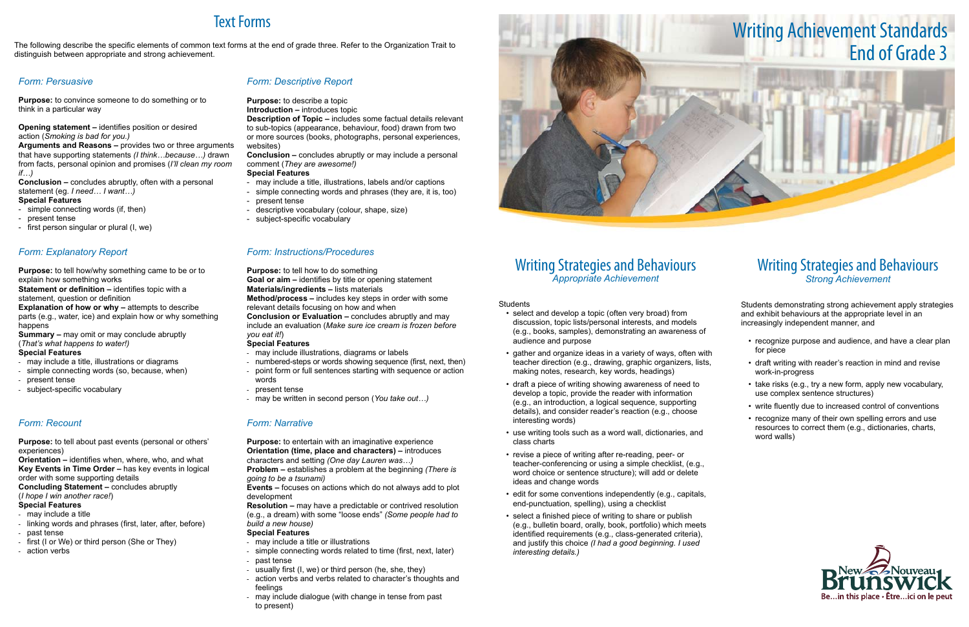## Writing Strategies and Behaviours *Appropriate Achievement*

Students

- select and develop a topic (often very broad) from discussion, topic lists/personal interests, and models (e.g., books, samples), demonstrating an awareness of audience and purpose
- gather and organize ideas in a variety of ways, often with teacher direction (e.g., drawing, graphic organizers, lists, making notes, research, key words, headings)
- draft a piece of writing showing awareness of need to develop a topic, provide the reader with information (e.g., an introduction, a logical sequence, supporting details), and consider reader's reaction (e.g., choose interesting words)
- use writing tools such as a word wall, dictionaries, and class charts
- revise a piece of writing after re-reading, peer- or teacher-conferencing or using a simple checklist, (e.g., word choice or sentence structure); will add or delete ideas and change words
- edit for some conventions independently (e.g., capitals, end-punctuation, spelling), using a checklist
- select a finished piece of writing to share or publish (e.g., bulletin board, orally, book, portfolio) which meets identified requirements (e.g., class-generated criteria), and justify this choice *(I had a good beginning. I used interesting details.)*

- recognize purpose and audience, and have a clear plan for piece
- draft writing with reader's reaction in mind and revise work-in-progress
- take risks (e.g., try a new form, apply new vocabulary, use complex sentence structures)
- write fluently due to increased control of conventions
- recognize many of their own spelling errors and use resources to correct them (e.g., dictionaries, charts, word walls)



## Writing Strategies and Behaviours *Strong Achievement*

Students demonstrating strong achievement apply strategies and exhibit behaviours at the appropriate level in an increasingly independent manner, and

**Statement or definition – identifies topic with a** statement, question or definition

**Explanation of how or why – attempts to describe** parts (e.g., water, ice) and explain how or why something happens

# Text Forms

The following describe the specific elements of common text forms at the end of grade three. Refer to the Organization Trait to distinguish between appropriate and strong achievement.

> **Conclusion or Evaluation – concludes abruptly and may** include an evaluation (*Make sure ice cream is frozen before you eat it!*)

#### *Form: Persuasive*

**Purpose:** to convince someone to do something or to think in a particular way

**Opening statement –** identifies position or desired action (*Smoking is bad for you.)*

**Arguments and Reasons –** provides two or three arguments that have supporting statements *(I think…because…)* drawn from facts, personal opinion and promises (*I'll clean my room if…)*

**Conclusion –** concludes abruptly, often with a personal statement (eg. *I need… I want…)*

> **Purpose:** to entertain with an imaginative experience **Orientation (time, place and characters) –** introduces characters and setting *(One day Lauren was…)*

#### **Special Features**

- simple connecting words (if, then)

- present tense
- first person singular or plural (I, we)

#### *Form: Descriptive Report*

#### **Purpose:** to describe a topic

**Introduction – introduces topic** 

**Description of Topic –** includes some factual details relevant to sub-topics (appearance, behaviour, food) drawn from two or more sources (books, photographs, personal experiences, websites)

**Conclusion –** concludes abruptly or may include a personal comment (*They are awesome!)*

#### **Special Features**

- may include a title, illustrations, labels and/or captions
- simple connecting words and phrases (they are, it is, too) - present tense
- 
- descriptive vocabulary (colour, shape, size)
- subject-specific vocabulary

#### *Form: Explanatory Report*

**Purpose:** to tell how/why something came to be or to explain how something works

**Summary –** may omit or may conclude abruptly (*That's what happens to water!)*

#### **Special Features**

- may include a title, illustrations or diagrams
- simple connecting words (so, because, when)
- present tense
- subject-specific vocabulary

#### *Form: Instructions/Procedures*

**Purpose:** to tell how to do something

**Goal or aim –** identifies by title or opening statement **Materials/ingredients –** lists materials

**Method/process –** includes key steps in order with some relevant details focusing on how and when

#### **Special Features**

- may include illustrations, diagrams or labels
- numbered-steps or words showing sequence (first, next, then)
- point form or full sentences starting with sequence or action words
- present tense
- may be written in second person (*You take out…)*

#### *Form: Recount*

**Purpose:** to tell about past events (personal or others' experiences)

**Orientation –** identifies when, where, who, and what **Key Events in Time Order –** has key events in logical order with some supporting details

**Concluding Statement –** concludes abruptly

(*I hope I win another race!*)

#### **Special Features**

- may include a title
- linking words and phrases (first, later, after, before)
- past tense
- first (I or We) or third person (She or They)
- action verbs

#### *Form: Narrative*

**Problem –** establishes a problem at the beginning *(There is going to be a tsunami)*

**Events –** focuses on actions which do not always add to plot development

**Resolution –** may have a predictable or contrived resolution (e.g., a dream) with some "loose ends" *(Some people had to build a new house)*

#### **Special Features**

- may include a title or illustrations
- simple connecting words related to time (first, next, later)
- past tense
- usually first (I, we) or third person (he, she, they)
- action verbs and verbs related to character's thoughts and feelings
- may include dialogue (with change in tense from past to present)